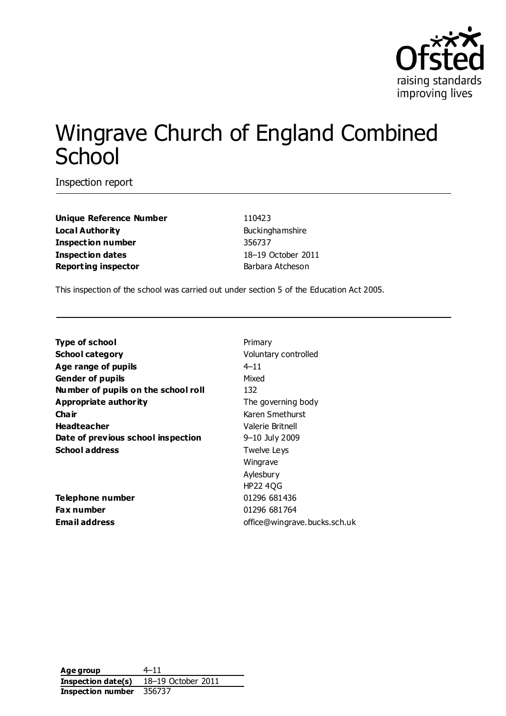

# Wingrave Church of England Combined **School**

Inspection report

**Unique Reference Number** 110423 **Local Authority Buckinghamshire Inspection number** 356737 **Inspection dates** 18–19 October 2011 **Reporting inspector Barbara Atcheson** 

This inspection of the school was carried out under section 5 of the Education Act 2005.

**Type of school** Primary **School category Voluntary controlled Age range of pupils** 4–11 **Gender of pupils** Mixed **Number of pupils on the school roll** 132 **Appropriate authority** The governing body **Chair** Karen Smethurst **Headteacher** Valerie Britnell **Date of previous school inspection** 9-10 July 2009 **School address** Twelve Leys

**Telephone number** 01296 681436 **Fax number** 01296 681764

Wingrave Aylesbury HP22 4QG **Email address** office@wingrave.bucks.sch.uk

**Age group** 4–11 **Inspection date(s)** 18–19 October 2011 **Inspection number** 356737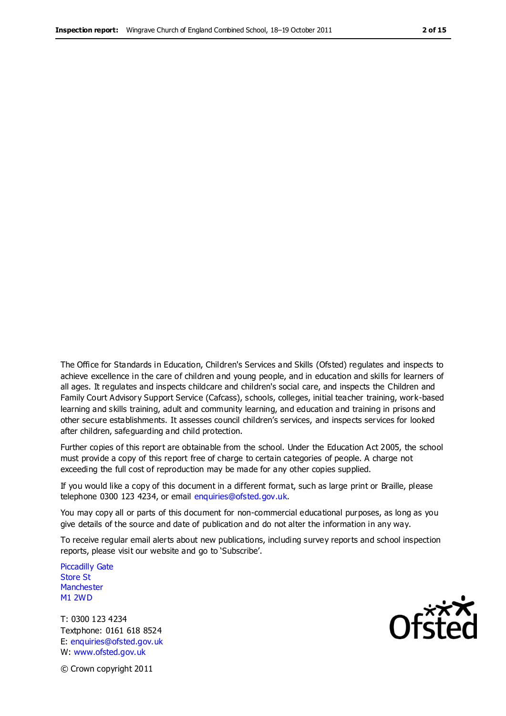The Office for Standards in Education, Children's Services and Skills (Ofsted) regulates and inspects to achieve excellence in the care of children and young people, and in education and skills for learners of all ages. It regulates and inspects childcare and children's social care, and inspects the Children and Family Court Advisory Support Service (Cafcass), schools, colleges, initial teacher training, work-based learning and skills training, adult and community learning, and education and training in prisons and other secure establishments. It assesses council children's services, and inspects services for looked after children, safeguarding and child protection.

Further copies of this report are obtainable from the school. Under the Education Act 2005, the school must provide a copy of this report free of charge to certain categories of people. A charge not exceeding the full cost of reproduction may be made for any other copies supplied.

If you would like a copy of this document in a different format, such as large print or Braille, please telephone 0300 123 4234, or email enquiries@ofsted.gov.uk.

You may copy all or parts of this document for non-commercial educational purposes, as long as you give details of the source and date of publication and do not alter the information in any way.

To receive regular email alerts about new publications, including survey reports and school inspection reports, please visit our website and go to 'Subscribe'.

Piccadilly Gate Store St **Manchester** M1 2WD

T: 0300 123 4234 Textphone: 0161 618 8524 E: enquiries@ofsted.gov.uk W: www.ofsted.gov.uk

**Ofsted** 

© Crown copyright 2011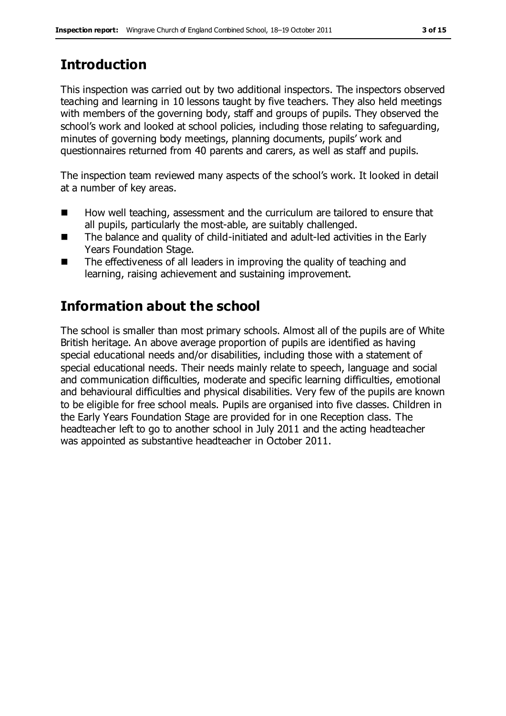# **Introduction**

This inspection was carried out by two additional inspectors. The inspectors observed teaching and learning in 10 lessons taught by five teachers. They also held meetings with members of the governing body, staff and groups of pupils. They observed the school's work and looked at school policies, including those relating to safeguarding, minutes of governing body meetings, planning documents, pupils' work and questionnaires returned from 40 parents and carers, as well as staff and pupils.

The inspection team reviewed many aspects of the school's work. It looked in detail at a number of key areas.

- How well teaching, assessment and the curriculum are tailored to ensure that all pupils, particularly the most-able, are suitably challenged.
- The balance and quality of child-initiated and adult-led activities in the Early Years Foundation Stage.
- The effectiveness of all leaders in improving the quality of teaching and learning, raising achievement and sustaining improvement.

# **Information about the school**

The school is smaller than most primary schools. Almost all of the pupils are of White British heritage. An above average proportion of pupils are identified as having special educational needs and/or disabilities, including those with a statement of special educational needs. Their needs mainly relate to speech, language and social and communication difficulties, moderate and specific learning difficulties, emotional and behavioural difficulties and physical disabilities. Very few of the pupils are known to be eligible for free school meals. Pupils are organised into five classes. Children in the Early Years Foundation Stage are provided for in one Reception class. The headteacher left to go to another school in July 2011 and the acting headteacher was appointed as substantive headteacher in October 2011.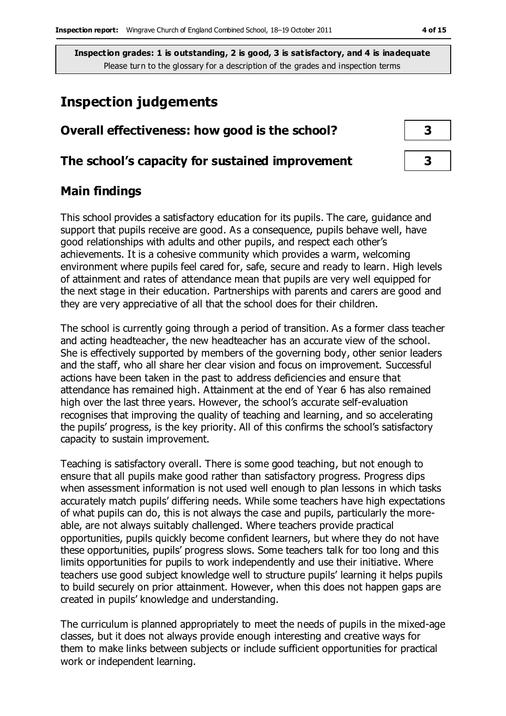# **Inspection judgements**

# **Overall effectiveness: how good is the school? 3**

### **The school's capacity for sustained improvement 3**

## **Main findings**

This school provides a satisfactory education for its pupils. The care, guidance and support that pupils receive are good. As a consequence, pupils behave well, have good relationships with adults and other pupils, and respect each other's achievements. It is a cohesive community which provides a warm, welcoming environment where pupils feel cared for, safe, secure and ready to learn. High levels of attainment and rates of attendance mean that pupils are very well equipped for the next stage in their education. Partnerships with parents and carers are good and they are very appreciative of all that the school does for their children.

The school is currently going through a period of transition. As a former class teacher and acting headteacher, the new headteacher has an accurate view of the school. She is effectively supported by members of the governing body, other senior leaders and the staff, who all share her clear vision and focus on improvement. Successful actions have been taken in the past to address deficiencies and ensure that attendance has remained high. Attainment at the end of Year 6 has also remained high over the last three years. However, the school's accurate self-evaluation recognises that improving the quality of teaching and learning, and so accelerating the pupils' progress, is the key priority. All of this confirms the school's satisfactory capacity to sustain improvement.

Teaching is satisfactory overall. There is some good teaching, but not enough to ensure that all pupils make good rather than satisfactory progress. Progress dips when assessment information is not used well enough to plan lessons in which tasks accurately match pupils' differing needs. While some teachers have high expectations of what pupils can do, this is not always the case and pupils, particularly the moreable, are not always suitably challenged. Where teachers provide practical opportunities, pupils quickly become confident learners, but where they do not have these opportunities, pupils' progress slows. Some teachers talk for too long and this limits opportunities for pupils to work independently and use their initiative. Where teachers use good subject knowledge well to structure pupils' learning it helps pupils to build securely on prior attainment. However, when this does not happen gaps are created in pupils' knowledge and understanding.

The curriculum is planned appropriately to meet the needs of pupils in the mixed-age classes, but it does not always provide enough interesting and creative ways for them to make links between subjects or include sufficient opportunities for practical work or independent learning.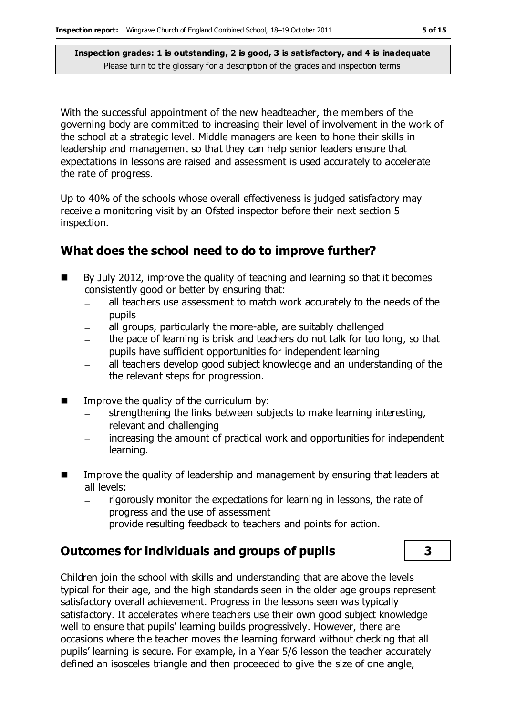With the successful appointment of the new headteacher, the members of the governing body are committed to increasing their level of involvement in the work of the school at a strategic level. Middle managers are keen to hone their skills in leadership and management so that they can help senior leaders ensure that expectations in lessons are raised and assessment is used accurately to accelerate the rate of progress.

Up to 40% of the schools whose overall effectiveness is judged satisfactory may receive a monitoring visit by an Ofsted inspector before their next section 5 inspection.

# **What does the school need to do to improve further?**

- $\blacksquare$  By July 2012, improve the quality of teaching and learning so that it becomes consistently good or better by ensuring that:
	- all teachers use assessment to match work accurately to the needs of the  $\equiv$ pupils
	- all groups, particularly the more-able, are suitably challenged  $\equiv$
	- the pace of learning is brisk and teachers do not talk for too long, so that pupils have sufficient opportunities for independent learning
	- all teachers develop good subject knowledge and an understanding of the  $\equiv$ the relevant steps for progression.
- $\blacksquare$  Improve the quality of the curriculum by:
	- strengthening the links between subjects to make learning interesting, relevant and challenging
	- increasing the amount of practical work and opportunities for independent learning.
- Improve the quality of leadership and management by ensuring that leaders at all levels:
	- rigorously monitor the expectations for learning in lessons, the rate of progress and the use of assessment
	- provide resulting feedback to teachers and points for action.

## **Outcomes for individuals and groups of pupils 3**

Children join the school with skills and understanding that are above the levels typical for their age, and the high standards seen in the older age groups represent satisfactory overall achievement. Progress in the lessons seen was typically satisfactory. It accelerates where teachers use their own good subject knowledge well to ensure that pupils' learning builds progressively. However, there are occasions where the teacher moves the learning forward without checking that all pupils' learning is secure. For example, in a Year 5/6 lesson the teacher accurately defined an isosceles triangle and then proceeded to give the size of one angle,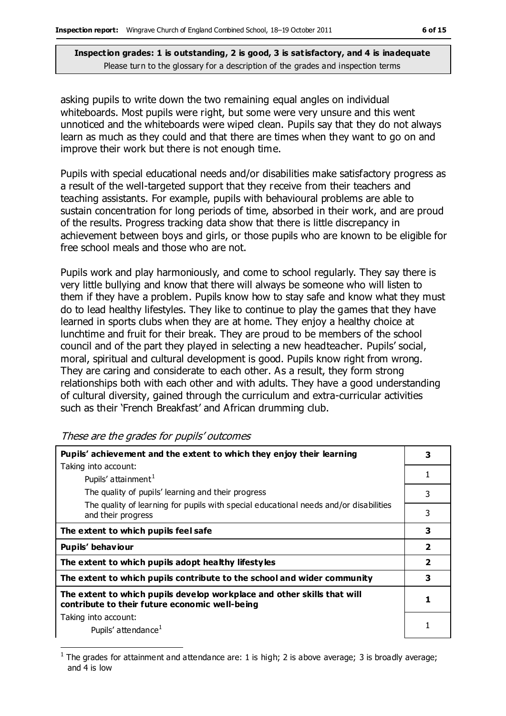asking pupils to write down the two remaining equal angles on individual whiteboards. Most pupils were right, but some were very unsure and this went unnoticed and the whiteboards were wiped clean. Pupils say that they do not always learn as much as they could and that there are times when they want to go on and improve their work but there is not enough time.

Pupils with special educational needs and/or disabilities make satisfactory progress as a result of the well-targeted support that they receive from their teachers and teaching assistants. For example, pupils with behavioural problems are able to sustain concentration for long periods of time, absorbed in their work, and are proud of the results. Progress tracking data show that there is little discrepancy in achievement between boys and girls, or those pupils who are known to be eligible for free school meals and those who are not.

Pupils work and play harmoniously, and come to school regularly. They say there is very little bullying and know that there will always be someone who will listen to them if they have a problem. Pupils know how to stay safe and know what they must do to lead healthy lifestyles. They like to continue to play the games that they have learned in sports clubs when they are at home. They enjoy a healthy choice at lunchtime and fruit for their break. They are proud to be members of the school council and of the part they played in selecting a new headteacher. Pupils' social, moral, spiritual and cultural development is good. Pupils know right from wrong. They are caring and considerate to each other. As a result, they form strong relationships both with each other and with adults. They have a good understanding of cultural diversity, gained through the curriculum and extra-curricular activities such as their 'French Breakfast' and African drumming club.

| Pupils' achievement and the extent to which they enjoy their learning                                                     |                         |  |  |  |
|---------------------------------------------------------------------------------------------------------------------------|-------------------------|--|--|--|
| Taking into account:                                                                                                      |                         |  |  |  |
| Pupils' attainment <sup>1</sup>                                                                                           |                         |  |  |  |
| The quality of pupils' learning and their progress                                                                        | 3                       |  |  |  |
| The quality of learning for pupils with special educational needs and/or disabilities<br>and their progress               | 3                       |  |  |  |
| The extent to which pupils feel safe                                                                                      | 3                       |  |  |  |
| Pupils' behaviour                                                                                                         | $\overline{\mathbf{2}}$ |  |  |  |
| The extent to which pupils adopt healthy lifestyles                                                                       | $\overline{2}$          |  |  |  |
| The extent to which pupils contribute to the school and wider community                                                   | 3                       |  |  |  |
| The extent to which pupils develop workplace and other skills that will<br>contribute to their future economic well-being |                         |  |  |  |
| Taking into account:                                                                                                      |                         |  |  |  |
| Pupils' attendance <sup>1</sup>                                                                                           |                         |  |  |  |

#### These are the grades for pupils' outcomes

 $\overline{a}$ 

<sup>1</sup> The grades for attainment and attendance are: 1 is high; 2 is above average; 3 is broadly average; and 4 is low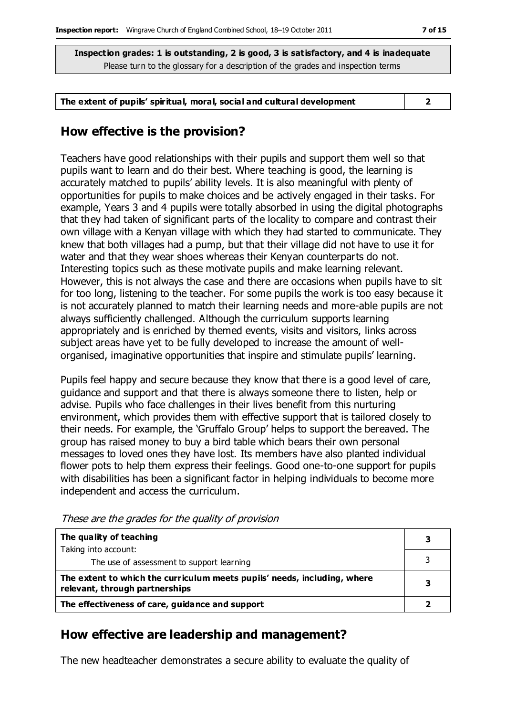#### **The extent of pupils' spiritual, moral, social and cultural development 2**

## **How effective is the provision?**

Teachers have good relationships with their pupils and support them well so that pupils want to learn and do their best. Where teaching is good, the learning is accurately matched to pupils' ability levels. It is also meaningful with plenty of opportunities for pupils to make choices and be actively engaged in their tasks. For example, Years 3 and 4 pupils were totally absorbed in using the digital photographs that they had taken of significant parts of the locality to compare and contrast their own village with a Kenyan village with which they had started to communicate. They knew that both villages had a pump, but that their village did not have to use it for water and that they wear shoes whereas their Kenyan counterparts do not. Interesting topics such as these motivate pupils and make learning relevant. However, this is not always the case and there are occasions when pupils have to sit for too long, listening to the teacher. For some pupils the work is too easy because it is not accurately planned to match their learning needs and more-able pupils are not always sufficiently challenged. Although the curriculum supports learning appropriately and is enriched by themed events, visits and visitors, links across subject areas have yet to be fully developed to increase the amount of wellorganised, imaginative opportunities that inspire and stimulate pupils' learning.

Pupils feel happy and secure because they know that there is a good level of care, guidance and support and that there is always someone there to listen, help or advise. Pupils who face challenges in their lives benefit from this nurturing environment, which provides them with effective support that is tailored closely to their needs. For example, the 'Gruffalo Group' helps to support the bereaved. The group has raised money to buy a bird table which bears their own personal messages to loved ones they have lost. Its members have also planted individual flower pots to help them express their feelings. Good one-to-one support for pupils with disabilities has been a significant factor in helping individuals to become more independent and access the curriculum.

| The quality of teaching                                                                                    |  |
|------------------------------------------------------------------------------------------------------------|--|
| Taking into account:                                                                                       |  |
| The use of assessment to support learning                                                                  |  |
| The extent to which the curriculum meets pupils' needs, including, where<br>relevant, through partnerships |  |
| The effectiveness of care, guidance and support                                                            |  |

These are the grades for the quality of provision

## **How effective are leadership and management?**

The new headteacher demonstrates a secure ability to evaluate the quality of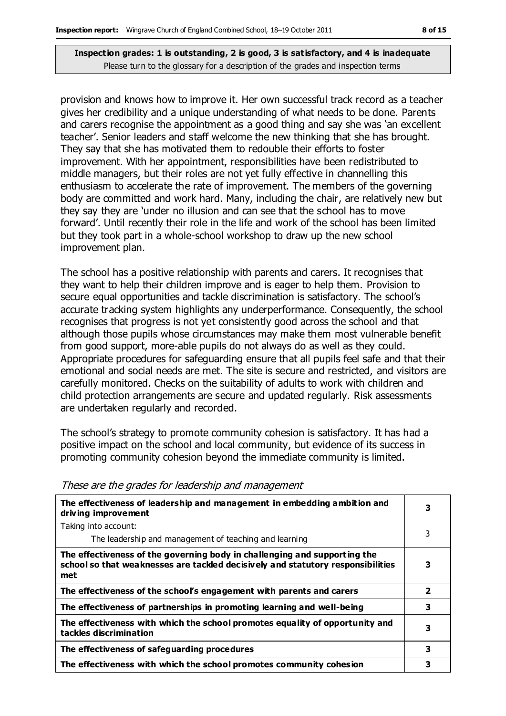provision and knows how to improve it. Her own successful track record as a teacher gives her credibility and a unique understanding of what needs to be done. Parents and carers recognise the appointment as a good thing and say she was 'an excellent teacher'. Senior leaders and staff welcome the new thinking that she has brought. They say that she has motivated them to redouble their efforts to foster improvement. With her appointment, responsibilities have been redistributed to middle managers, but their roles are not yet fully effective in channelling this enthusiasm to accelerate the rate of improvement. The members of the governing body are committed and work hard. Many, including the chair, are relatively new but they say they are 'under no illusion and can see that the school has to move forward'. Until recently their role in the life and work of the school has been limited but they took part in a whole-school workshop to draw up the new school improvement plan.

The school has a positive relationship with parents and carers. It recognises that they want to help their children improve and is eager to help them. Provision to secure equal opportunities and tackle discrimination is satisfactory. The school's accurate tracking system highlights any underperformance. Consequently, the school recognises that progress is not yet consistently good across the school and that although those pupils whose circumstances may make them most vulnerable benefit from good support, more-able pupils do not always do as well as they could. Appropriate procedures for safeguarding ensure that all pupils feel safe and that their emotional and social needs are met. The site is secure and restricted, and visitors are carefully monitored. Checks on the suitability of adults to work with children and child protection arrangements are secure and updated regularly. Risk assessments are undertaken regularly and recorded.

The school's strategy to promote community cohesion is satisfactory. It has had a positive impact on the school and local community, but evidence of its success in promoting community cohesion beyond the immediate community is limited.

| The effectiveness of leadership and management in embedding ambition and<br>driving improvement                                                                     |              |  |  |  |
|---------------------------------------------------------------------------------------------------------------------------------------------------------------------|--------------|--|--|--|
| Taking into account:                                                                                                                                                |              |  |  |  |
| The leadership and management of teaching and learning                                                                                                              | 3            |  |  |  |
| The effectiveness of the governing body in challenging and supporting the<br>school so that weaknesses are tackled decisively and statutory responsibilities<br>met | 3            |  |  |  |
| The effectiveness of the school's engagement with parents and carers                                                                                                | $\mathbf{2}$ |  |  |  |
| The effectiveness of partnerships in promoting learning and well-being                                                                                              | 3            |  |  |  |
| The effectiveness with which the school promotes equality of opportunity and<br>tackles discrimination                                                              |              |  |  |  |
| The effectiveness of safeguarding procedures                                                                                                                        | 3            |  |  |  |
| The effectiveness with which the school promotes community cohesion                                                                                                 | 3            |  |  |  |

These are the grades for leadership and management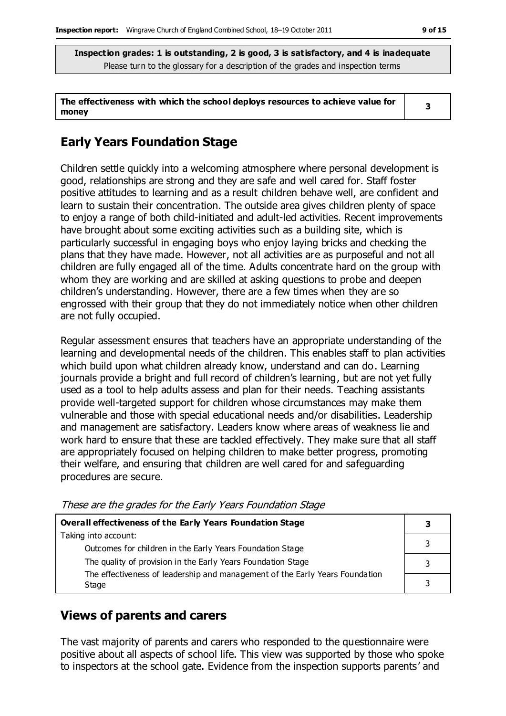| The effectiveness with which the school deploys resources to achieve value for |  |
|--------------------------------------------------------------------------------|--|
| money                                                                          |  |

# **Early Years Foundation Stage**

Children settle quickly into a welcoming atmosphere where personal development is good, relationships are strong and they are safe and well cared for. Staff foster positive attitudes to learning and as a result children behave well, are confident and learn to sustain their concentration. The outside area gives children plenty of space to enjoy a range of both child-initiated and adult-led activities. Recent improvements have brought about some exciting activities such as a building site, which is particularly successful in engaging boys who enjoy laying bricks and checking the plans that they have made. However, not all activities are as purposeful and not all children are fully engaged all of the time. Adults concentrate hard on the group with whom they are working and are skilled at asking questions to probe and deepen children's understanding. However, there are a few times when they are so engrossed with their group that they do not immediately notice when other children are not fully occupied.

Regular assessment ensures that teachers have an appropriate understanding of the learning and developmental needs of the children. This enables staff to plan activities which build upon what children already know, understand and can do. Learning journals provide a bright and full record of children's learning, but are not yet fully used as a tool to help adults assess and plan for their needs. Teaching assistants provide well-targeted support for children whose circumstances may make them vulnerable and those with special educational needs and/or disabilities. Leadership and management are satisfactory. Leaders know where areas of weakness lie and work hard to ensure that these are tackled effectively. They make sure that all staff are appropriately focused on helping children to make better progress, promoting their welfare, and ensuring that children are well cared for and safeguarding procedures are secure.

| Overall effectiveness of the Early Years Foundation Stage                             |  |  |  |
|---------------------------------------------------------------------------------------|--|--|--|
| Taking into account:                                                                  |  |  |  |
| Outcomes for children in the Early Years Foundation Stage                             |  |  |  |
| The quality of provision in the Early Years Foundation Stage                          |  |  |  |
| The effectiveness of leadership and management of the Early Years Foundation<br>Stage |  |  |  |

These are the grades for the Early Years Foundation Stage

# **Views of parents and carers**

The vast majority of parents and carers who responded to the questionnaire were positive about all aspects of school life. This view was supported by those who spoke to inspectors at the school gate. Evidence from the inspection supports parents' and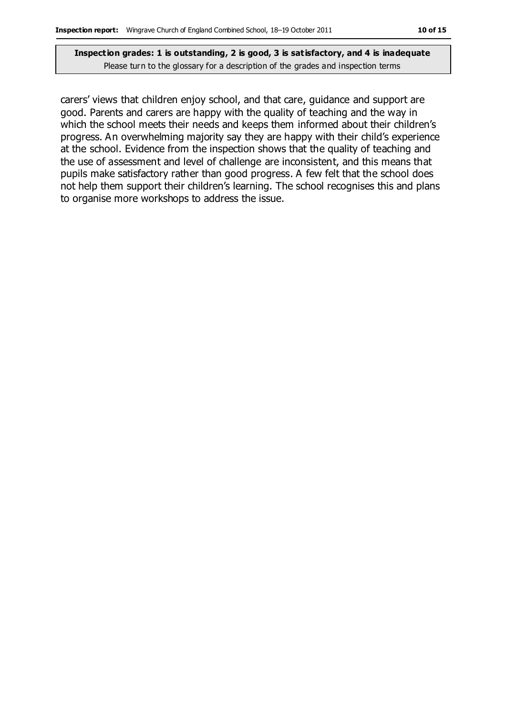carers' views that children enjoy school, and that care, guidance and support are good. Parents and carers are happy with the quality of teaching and the way in which the school meets their needs and keeps them informed about their children's progress. An overwhelming majority say they are happy with their child's experience at the school. Evidence from the inspection shows that the quality of teaching and the use of assessment and level of challenge are inconsistent, and this means that pupils make satisfactory rather than good progress. A few felt that the school does not help them support their children's learning. The school recognises this and plans to organise more workshops to address the issue.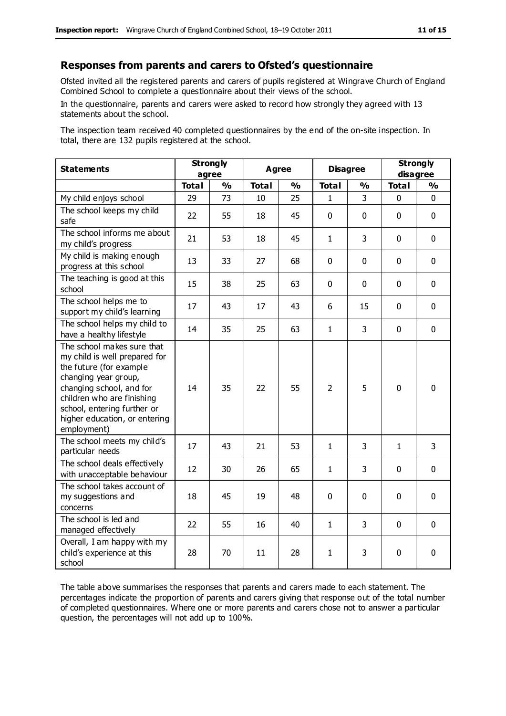#### **Responses from parents and carers to Ofsted's questionnaire**

Ofsted invited all the registered parents and carers of pupils registered at Wingrave Church of England Combined School to complete a questionnaire about their views of the school.

In the questionnaire, parents and carers were asked to record how strongly they agreed with 13 statements about the school.

The inspection team received 40 completed questionnaires by the end of the on-site inspection. In total, there are 132 pupils registered at the school.

| <b>Statements</b>                                                                                                                                                                                                                                       | <b>Strongly</b><br>agree |               | <b>Agree</b> |               | <b>Disagree</b> | <b>Strongly</b><br>disagree |              |               |
|---------------------------------------------------------------------------------------------------------------------------------------------------------------------------------------------------------------------------------------------------------|--------------------------|---------------|--------------|---------------|-----------------|-----------------------------|--------------|---------------|
|                                                                                                                                                                                                                                                         | <b>Total</b>             | $\frac{1}{2}$ | <b>Total</b> | $\frac{1}{2}$ | <b>Total</b>    | $\frac{1}{2}$               | <b>Total</b> | $\frac{1}{2}$ |
| My child enjoys school                                                                                                                                                                                                                                  | 29                       | 73            | 10           | 25            | $\mathbf{1}$    | 3                           | $\mathbf 0$  | $\mathbf 0$   |
| The school keeps my child<br>safe                                                                                                                                                                                                                       | 22                       | 55            | 18           | 45            | $\mathbf 0$     | $\mathbf 0$                 | $\mathbf 0$  | $\mathbf 0$   |
| The school informs me about<br>my child's progress                                                                                                                                                                                                      | 21                       | 53            | 18           | 45            | $\mathbf{1}$    | 3                           | $\mathbf 0$  | $\mathbf 0$   |
| My child is making enough<br>progress at this school                                                                                                                                                                                                    | 13                       | 33            | 27           | 68            | 0               | 0                           | $\mathbf 0$  | $\mathbf 0$   |
| The teaching is good at this<br>school                                                                                                                                                                                                                  | 15                       | 38            | 25           | 63            | 0               | $\mathbf 0$                 | $\mathbf 0$  | $\mathbf 0$   |
| The school helps me to<br>support my child's learning                                                                                                                                                                                                   | 17                       | 43            | 17           | 43            | 6               | 15                          | $\Omega$     | $\mathbf 0$   |
| The school helps my child to<br>have a healthy lifestyle                                                                                                                                                                                                | 14                       | 35            | 25           | 63            | $\mathbf{1}$    | $\overline{3}$              | $\mathbf 0$  | $\mathbf 0$   |
| The school makes sure that<br>my child is well prepared for<br>the future (for example<br>changing year group,<br>changing school, and for<br>children who are finishing<br>school, entering further or<br>higher education, or entering<br>employment) | 14                       | 35            | 22           | 55            | $\overline{2}$  | 5                           | $\mathbf{0}$ | $\mathbf 0$   |
| The school meets my child's<br>particular needs                                                                                                                                                                                                         | 17                       | 43            | 21           | 53            | $\mathbf{1}$    | 3                           | $\mathbf{1}$ | 3             |
| The school deals effectively<br>with unacceptable behaviour                                                                                                                                                                                             | 12                       | 30            | 26           | 65            | 1               | 3                           | $\mathbf 0$  | $\mathbf 0$   |
| The school takes account of<br>my suggestions and<br>concerns                                                                                                                                                                                           | 18                       | 45            | 19           | 48            | $\mathbf 0$     | $\mathbf 0$                 | $\mathbf 0$  | $\mathbf 0$   |
| The school is led and<br>managed effectively                                                                                                                                                                                                            | 22                       | 55            | 16           | 40            | $\mathbf{1}$    | 3                           | $\mathbf 0$  | $\mathbf 0$   |
| Overall, I am happy with my<br>child's experience at this<br>school                                                                                                                                                                                     | 28                       | 70            | 11           | 28            | 1               | 3                           | $\mathbf 0$  | $\mathbf 0$   |

The table above summarises the responses that parents and carers made to each statement. The percentages indicate the proportion of parents and carers giving that response out of the total number of completed questionnaires. Where one or more parents and carers chose not to answer a particular question, the percentages will not add up to 100%.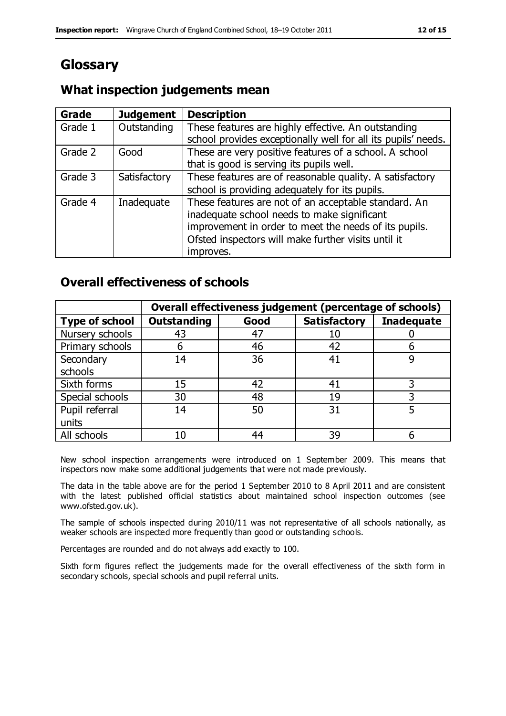# **Glossary**

# **What inspection judgements mean**

| <b>Grade</b> | <b>Judgement</b> | <b>Description</b>                                            |
|--------------|------------------|---------------------------------------------------------------|
| Grade 1      | Outstanding      | These features are highly effective. An outstanding           |
|              |                  | school provides exceptionally well for all its pupils' needs. |
| Grade 2      | Good             | These are very positive features of a school. A school        |
|              |                  | that is good is serving its pupils well.                      |
| Grade 3      | Satisfactory     | These features are of reasonable quality. A satisfactory      |
|              |                  | school is providing adequately for its pupils.                |
| Grade 4      | Inadequate       | These features are not of an acceptable standard. An          |
|              |                  | inadequate school needs to make significant                   |
|              |                  | improvement in order to meet the needs of its pupils.         |
|              |                  | Ofsted inspectors will make further visits until it           |
|              |                  | improves.                                                     |

## **Overall effectiveness of schools**

|                       |                    |      | Overall effectiveness judgement (percentage of schools) |                   |
|-----------------------|--------------------|------|---------------------------------------------------------|-------------------|
| <b>Type of school</b> | <b>Outstanding</b> | Good | <b>Satisfactory</b>                                     | <b>Inadequate</b> |
| Nursery schools       | 43                 | 47   |                                                         |                   |
| Primary schools       | h                  | 46   | 42                                                      |                   |
| Secondary             | 14                 | 36   | 41                                                      |                   |
| schools               |                    |      |                                                         |                   |
| Sixth forms           | 15                 | 42   | 41                                                      | 3                 |
| Special schools       | 30                 | 48   | 19                                                      |                   |
| Pupil referral        | 14                 | 50   | 31                                                      |                   |
| units                 |                    |      |                                                         |                   |
| All schools           | 10                 | 44   | 39                                                      |                   |

New school inspection arrangements were introduced on 1 September 2009. This means that inspectors now make some additional judgements that were not made previously.

The data in the table above are for the period 1 September 2010 to 8 April 2011 and are consistent with the latest published official statistics about maintained school inspection outcomes (see www.ofsted.gov.uk).

The sample of schools inspected during 2010/11 was not representative of all schools nationally, as weaker schools are inspected more frequently than good or outstanding schools.

Percentages are rounded and do not always add exactly to 100.

Sixth form figures reflect the judgements made for the overall effectiveness of the sixth form in secondary schools, special schools and pupil referral units.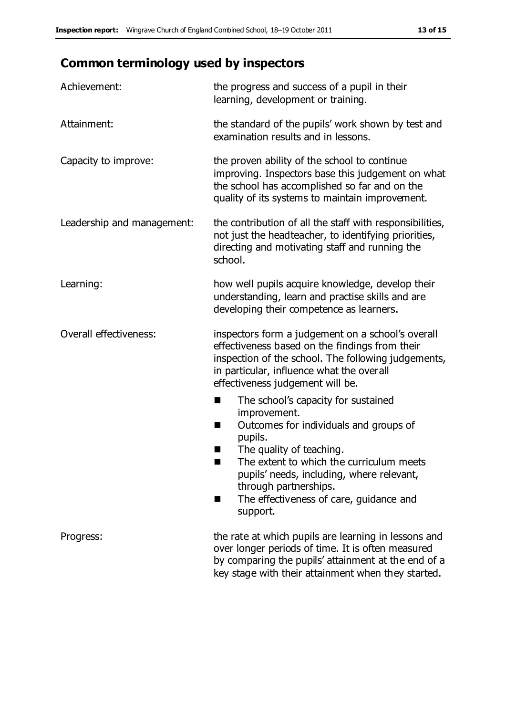# **Common terminology used by inspectors**

| Achievement:                  | the progress and success of a pupil in their<br>learning, development or training.                                                                                                                                                                                                                                           |  |  |
|-------------------------------|------------------------------------------------------------------------------------------------------------------------------------------------------------------------------------------------------------------------------------------------------------------------------------------------------------------------------|--|--|
| Attainment:                   | the standard of the pupils' work shown by test and<br>examination results and in lessons.                                                                                                                                                                                                                                    |  |  |
| Capacity to improve:          | the proven ability of the school to continue<br>improving. Inspectors base this judgement on what<br>the school has accomplished so far and on the<br>quality of its systems to maintain improvement.                                                                                                                        |  |  |
| Leadership and management:    | the contribution of all the staff with responsibilities,<br>not just the headteacher, to identifying priorities,<br>directing and motivating staff and running the<br>school.                                                                                                                                                |  |  |
| Learning:                     | how well pupils acquire knowledge, develop their<br>understanding, learn and practise skills and are<br>developing their competence as learners.                                                                                                                                                                             |  |  |
| <b>Overall effectiveness:</b> | inspectors form a judgement on a school's overall<br>effectiveness based on the findings from their<br>inspection of the school. The following judgements,<br>in particular, influence what the overall<br>effectiveness judgement will be.                                                                                  |  |  |
|                               | The school's capacity for sustained<br>×<br>improvement.<br>Outcomes for individuals and groups of<br>п<br>pupils.<br>The quality of teaching.<br>The extent to which the curriculum meets<br>pupils' needs, including, where relevant,<br>through partnerships.<br>The effectiveness of care, guidance and<br>■<br>support. |  |  |
| Progress:                     | the rate at which pupils are learning in lessons and<br>over longer periods of time. It is often measured<br>by comparing the pupils' attainment at the end of a<br>key stage with their attainment when they started.                                                                                                       |  |  |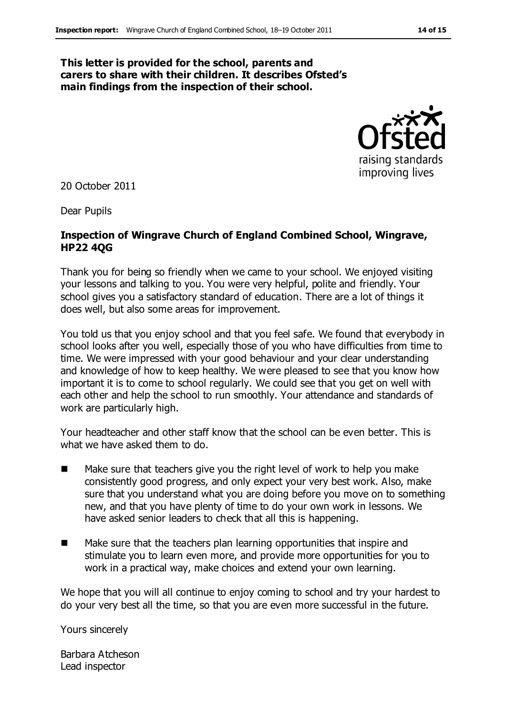#### **This letter is provided for the school, parents and carers to share with their children. It describes Ofsted's main findings from the inspection of their school.**



20 October 2011

Dear Pupils

#### **Inspection of Wingrave Church of England Combined School, Wingrave, HP22 4QG**

Thank you for being so friendly when we came to your school. We enjoyed visiting your lessons and talking to you. You were very helpful, polite and friendly. Your school gives you a satisfactory standard of education. There are a lot of things it does well, but also some areas for improvement.

You told us that you enjoy school and that you feel safe. We found that everybody in school looks after you well, especially those of you who have difficulties from time to time. We were impressed with your good behaviour and your clear understanding and knowledge of how to keep healthy. We were pleased to see that you know how important it is to come to school regularly. We could see that you get on well with each other and help the school to run smoothly. Your attendance and standards of work are particularly high.

Your headteacher and other staff know that the school can be even better. This is what we have asked them to do.

- $\blacksquare$  Make sure that teachers give you the right level of work to help you make consistently good progress, and only expect your very best work. Also, make sure that you understand what you are doing before you move on to something new, and that you have plenty of time to do your own work in lessons. We have asked senior leaders to check that all this is happening.
- Make sure that the teachers plan learning opportunities that inspire and stimulate you to learn even more, and provide more opportunities for you to work in a practical way, make choices and extend your own learning.

We hope that you will all continue to enjoy coming to school and try your hardest to do your very best all the time, so that you are even more successful in the future.

Yours sincerely

Barbara Atcheson Lead inspector